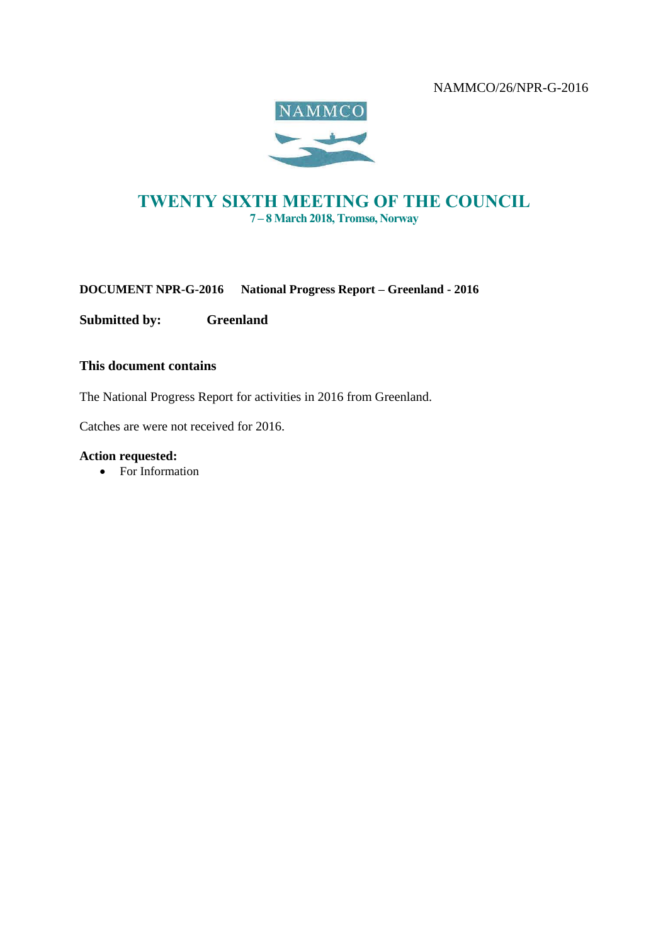

# TWENTY SIXTH MEETING OF THE COUNCIL 7 – 8 March 2018, Tromsø, Norway

**DOCUMENT NPR-G-2016 National Progress Report – Greenland - 2016**

**Submitted by: Greenland**

### **This document contains**

The National Progress Report for activities in 2016 from Greenland.

Catches are were not received for 2016.

#### **Action requested:**

• For Information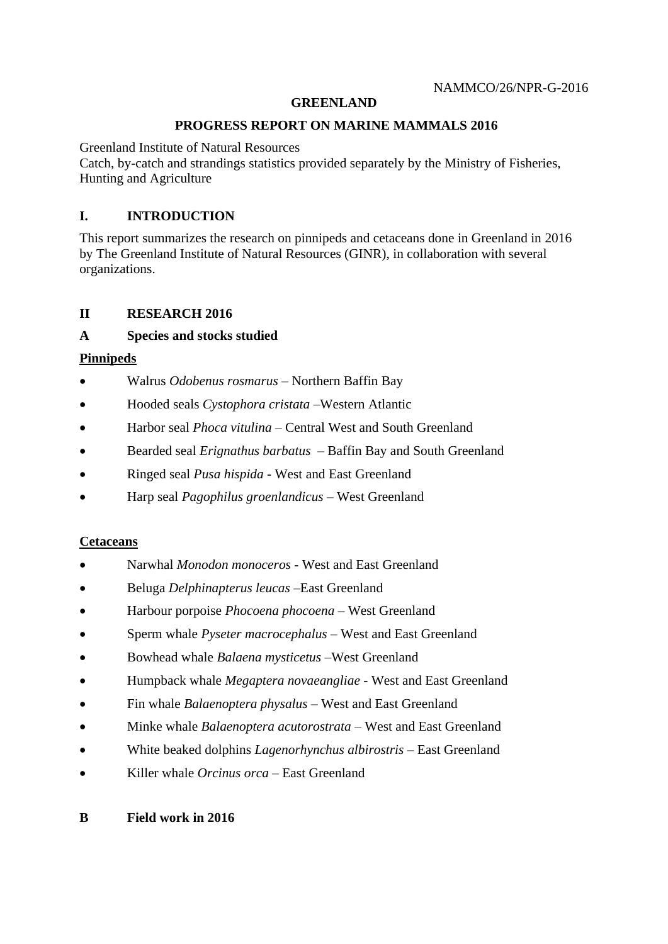## **GREENLAND**

### **PROGRESS REPORT ON MARINE MAMMALS 2016**

Greenland Institute of Natural Resources

Catch, by-catch and strandings statistics provided separately by the Ministry of Fisheries, Hunting and Agriculture

# **I. INTRODUCTION**

This report summarizes the research on pinnipeds and cetaceans done in Greenland in 2016 by The Greenland Institute of Natural Resources (GINR), in collaboration with several organizations.

## **II RESEARCH 2016**

# **A Species and stocks studied**

# **Pinnipeds**

- Walrus *Odobenus rosmarus –* Northern Baffin Bay
- Hooded seals *Cystophora cristata –*Western Atlantic
- Harbor seal *Phoca vitulina* Central West and South Greenland
- Bearded seal *Erignathus barbatus* Baffin Bay and South Greenland
- Ringed seal *Pusa hispida* West and East Greenland
- Harp seal *Pagophilus groenlandicus* West Greenland

## **Cetaceans**

- Narwhal *Monodon monoceros* West and East Greenland
- Beluga *Delphinapterus leucas –*East Greenland
- Harbour porpoise *Phocoena phocoena* West Greenland
- Sperm whale *Pyseter macrocephalus* West and East Greenland
- Bowhead whale *Balaena mysticetus* –West Greenland
- Humpback whale *Megaptera novaeangliae* West and East Greenland
- Fin whale *Balaenoptera physalus*  West and East Greenland
- Minke whale *Balaenoptera acutorostrata* West and East Greenland
- White beaked dolphins *Lagenorhynchus albirostris*  East Greenland
- Killer whale *Orcinus orca*  East Greenland

## **B Field work in 2016**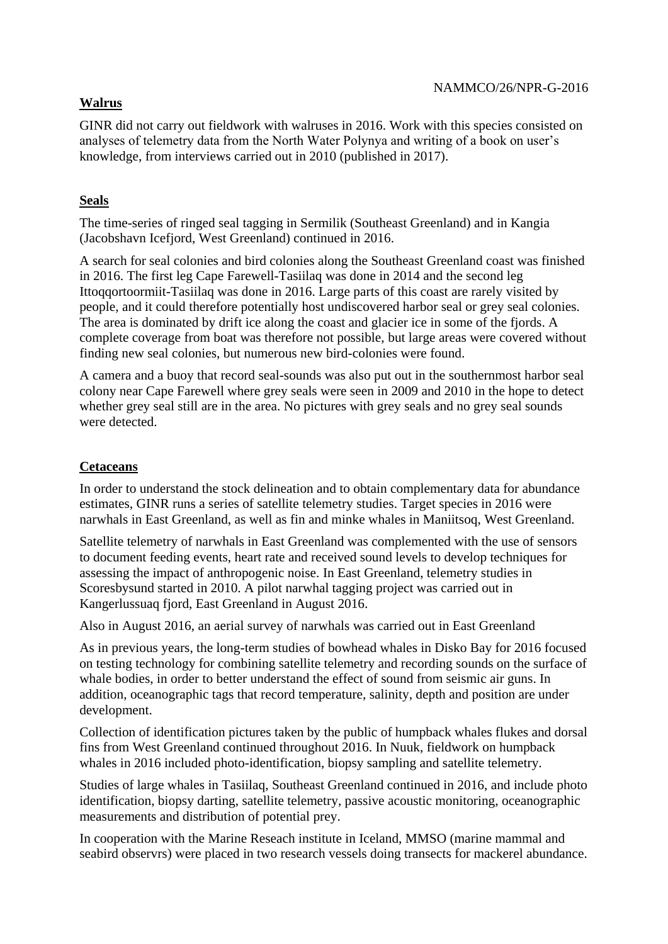# **Walrus**

GINR did not carry out fieldwork with walruses in 2016. Work with this species consisted on analyses of telemetry data from the North Water Polynya and writing of a book on user's knowledge, from interviews carried out in 2010 (published in 2017).

# **Seals**

The time-series of ringed seal tagging in Sermilik (Southeast Greenland) and in Kangia (Jacobshavn Icefjord, West Greenland) continued in 2016.

A search for seal colonies and bird colonies along the Southeast Greenland coast was finished in 2016. The first leg Cape Farewell-Tasiilaq was done in 2014 and the second leg Ittoqqortoormiit-Tasiilaq was done in 2016. Large parts of this coast are rarely visited by people, and it could therefore potentially host undiscovered harbor seal or grey seal colonies. The area is dominated by drift ice along the coast and glacier ice in some of the fjords. A complete coverage from boat was therefore not possible, but large areas were covered without finding new seal colonies, but numerous new bird-colonies were found.

A camera and a buoy that record seal-sounds was also put out in the southernmost harbor seal colony near Cape Farewell where grey seals were seen in 2009 and 2010 in the hope to detect whether grey seal still are in the area. No pictures with grey seals and no grey seal sounds were detected.

# **Cetaceans**

In order to understand the stock delineation and to obtain complementary data for abundance estimates, GINR runs a series of satellite telemetry studies. Target species in 2016 were narwhals in East Greenland, as well as fin and minke whales in Maniitsoq, West Greenland.

Satellite telemetry of narwhals in East Greenland was complemented with the use of sensors to document feeding events, heart rate and received sound levels to develop techniques for assessing the impact of anthropogenic noise. In East Greenland, telemetry studies in Scoresbysund started in 2010. A pilot narwhal tagging project was carried out in Kangerlussuaq fjord, East Greenland in August 2016.

Also in August 2016, an aerial survey of narwhals was carried out in East Greenland

As in previous years, the long-term studies of bowhead whales in Disko Bay for 2016 focused on testing technology for combining satellite telemetry and recording sounds on the surface of whale bodies, in order to better understand the effect of sound from seismic air guns. In addition, oceanographic tags that record temperature, salinity, depth and position are under development.

Collection of identification pictures taken by the public of humpback whales flukes and dorsal fins from West Greenland continued throughout 2016. In Nuuk, fieldwork on humpback whales in 2016 included photo-identification, biopsy sampling and satellite telemetry.

Studies of large whales in Tasiilaq, Southeast Greenland continued in 2016, and include photo identification, biopsy darting, satellite telemetry, passive acoustic monitoring, oceanographic measurements and distribution of potential prey.

In cooperation with the Marine Reseach institute in Iceland, MMSO (marine mammal and seabird observrs) were placed in two research vessels doing transects for mackerel abundance.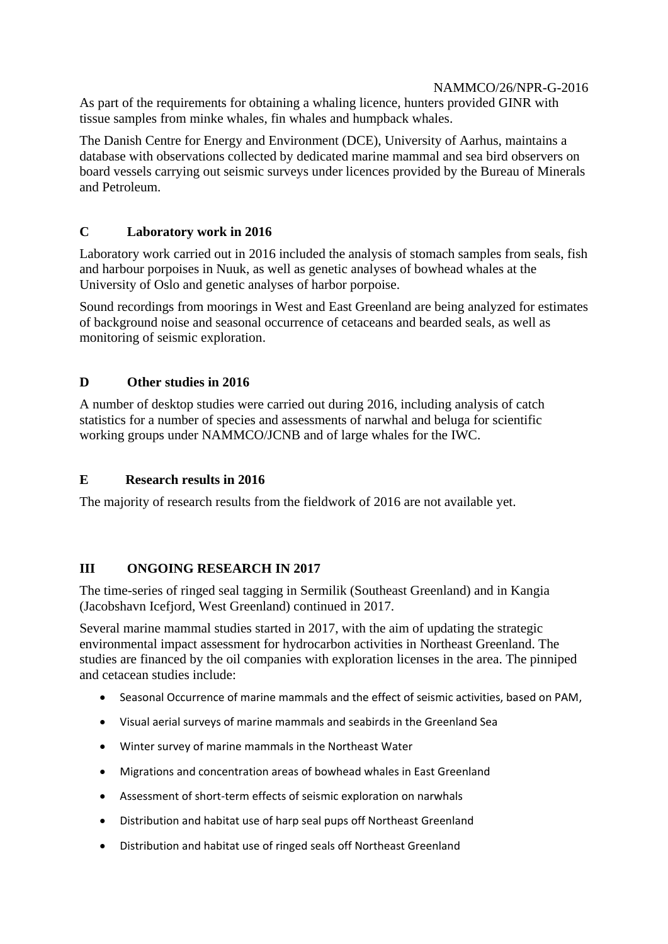As part of the requirements for obtaining a whaling licence, hunters provided GINR with tissue samples from minke whales, fin whales and humpback whales.

The Danish Centre for Energy and Environment (DCE), University of Aarhus, maintains a database with observations collected by dedicated marine mammal and sea bird observers on board vessels carrying out seismic surveys under licences provided by the Bureau of Minerals and Petroleum.

# **C Laboratory work in 2016**

Laboratory work carried out in 2016 included the analysis of stomach samples from seals, fish and harbour porpoises in Nuuk, as well as genetic analyses of bowhead whales at the University of Oslo and genetic analyses of harbor porpoise.

Sound recordings from moorings in West and East Greenland are being analyzed for estimates of background noise and seasonal occurrence of cetaceans and bearded seals, as well as monitoring of seismic exploration.

# **D Other studies in 2016**

A number of desktop studies were carried out during 2016, including analysis of catch statistics for a number of species and assessments of narwhal and beluga for scientific working groups under NAMMCO/JCNB and of large whales for the IWC.

# **E Research results in 2016**

The majority of research results from the fieldwork of 2016 are not available yet.

## **III ONGOING RESEARCH IN 2017**

The time-series of ringed seal tagging in Sermilik (Southeast Greenland) and in Kangia (Jacobshavn Icefjord, West Greenland) continued in 2017.

Several marine mammal studies started in 2017, with the aim of updating the strategic environmental impact assessment for hydrocarbon activities in Northeast Greenland. The studies are financed by the oil companies with exploration licenses in the area. The pinniped and cetacean studies include:

- Seasonal Occurrence of marine mammals and the effect of seismic activities, based on PAM,
- Visual aerial surveys of marine mammals and seabirds in the Greenland Sea
- Winter survey of marine mammals in the Northeast Water
- Migrations and concentration areas of bowhead whales in East Greenland
- Assessment of short-term effects of seismic exploration on narwhals
- Distribution and habitat use of harp seal pups off Northeast Greenland
- Distribution and habitat use of ringed seals off Northeast Greenland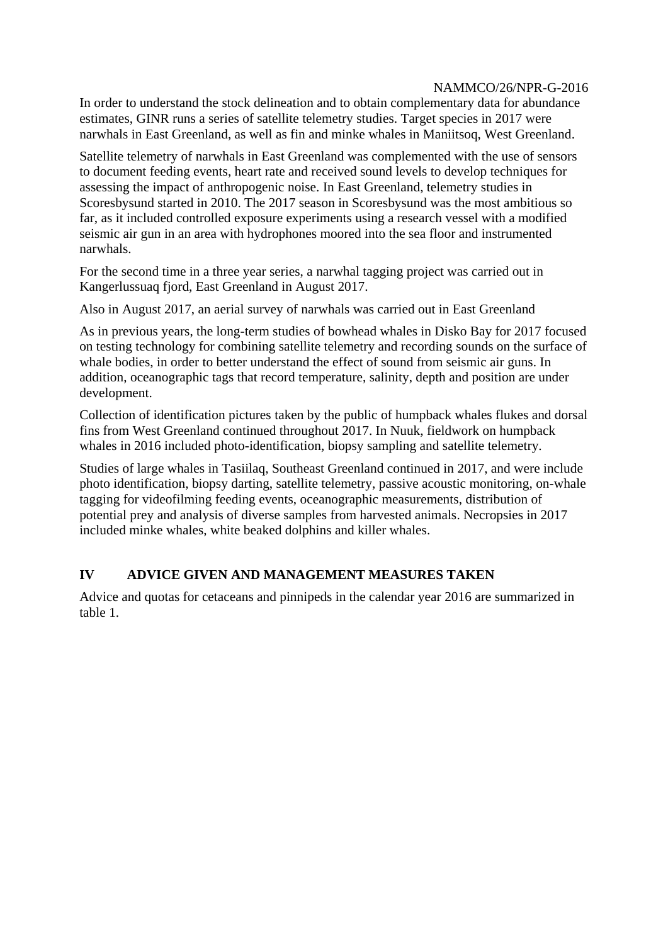In order to understand the stock delineation and to obtain complementary data for abundance estimates, GINR runs a series of satellite telemetry studies. Target species in 2017 were narwhals in East Greenland, as well as fin and minke whales in Maniitsoq, West Greenland.

Satellite telemetry of narwhals in East Greenland was complemented with the use of sensors to document feeding events, heart rate and received sound levels to develop techniques for assessing the impact of anthropogenic noise. In East Greenland, telemetry studies in Scoresbysund started in 2010. The 2017 season in Scoresbysund was the most ambitious so far, as it included controlled exposure experiments using a research vessel with a modified seismic air gun in an area with hydrophones moored into the sea floor and instrumented narwhals.

For the second time in a three year series, a narwhal tagging project was carried out in Kangerlussuaq fjord, East Greenland in August 2017.

Also in August 2017, an aerial survey of narwhals was carried out in East Greenland

As in previous years, the long-term studies of bowhead whales in Disko Bay for 2017 focused on testing technology for combining satellite telemetry and recording sounds on the surface of whale bodies, in order to better understand the effect of sound from seismic air guns. In addition, oceanographic tags that record temperature, salinity, depth and position are under development.

Collection of identification pictures taken by the public of humpback whales flukes and dorsal fins from West Greenland continued throughout 2017. In Nuuk, fieldwork on humpback whales in 2016 included photo-identification, biopsy sampling and satellite telemetry.

Studies of large whales in Tasiilaq, Southeast Greenland continued in 2017, and were include photo identification, biopsy darting, satellite telemetry, passive acoustic monitoring, on-whale tagging for videofilming feeding events, oceanographic measurements, distribution of potential prey and analysis of diverse samples from harvested animals. Necropsies in 2017 included minke whales, white beaked dolphins and killer whales.

## **IV ADVICE GIVEN AND MANAGEMENT MEASURES TAKEN**

Advice and quotas for cetaceans and pinnipeds in the calendar year 2016 are summarized in table 1.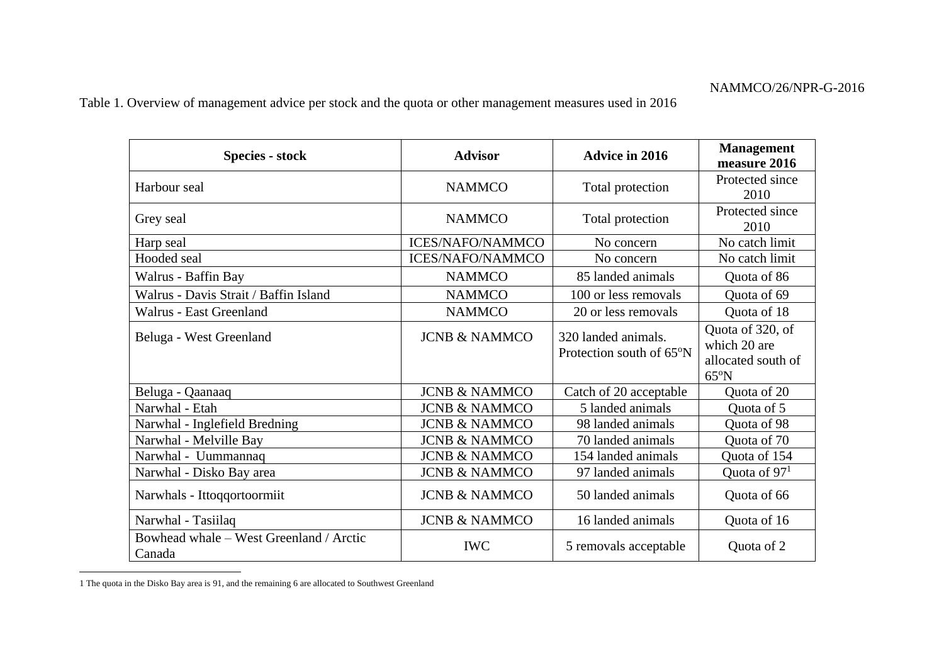Table 1. Overview of management advice per stock and the quota or other management measures used in 2016

| <b>Species - stock</b>                            | <b>Advisor</b>           | <b>Advice in 2016</b>                           | <b>Management</b><br>measure 2016                                        |
|---------------------------------------------------|--------------------------|-------------------------------------------------|--------------------------------------------------------------------------|
| Harbour seal                                      | <b>NAMMCO</b>            | Total protection                                | Protected since<br>2010                                                  |
| Grey seal                                         | <b>NAMMCO</b>            | Total protection                                | Protected since<br>2010                                                  |
| Harp seal                                         | <b>ICES/NAFO/NAMMCO</b>  | No concern                                      | No catch limit                                                           |
| Hooded seal                                       | <b>ICES/NAFO/NAMMCO</b>  | No concern                                      | No catch limit                                                           |
| Walrus - Baffin Bay                               | <b>NAMMCO</b>            | 85 landed animals                               | Quota of 86                                                              |
| Walrus - Davis Strait / Baffin Island             | <b>NAMMCO</b>            | 100 or less removals                            | Quota of 69                                                              |
| Walrus - East Greenland                           | <b>NAMMCO</b>            | 20 or less removals                             | Quota of 18                                                              |
| Beluga - West Greenland                           | <b>JCNB &amp; NAMMCO</b> | 320 landed animals.<br>Protection south of 65°N | Quota of 320, of<br>which 20 are<br>allocated south of<br>$65^{\circ}$ N |
| Beluga - Qaanaaq                                  | <b>JCNB &amp; NAMMCO</b> | Catch of 20 acceptable                          | Quota of 20                                                              |
| Narwhal - Etah                                    | <b>JCNB &amp; NAMMCO</b> | 5 landed animals                                | Quota of 5                                                               |
| Narwhal - Inglefield Bredning                     | <b>JCNB &amp; NAMMCO</b> | 98 landed animals                               | Quota of 98                                                              |
| Narwhal - Melville Bay                            | <b>JCNB &amp; NAMMCO</b> | 70 landed animals                               | Quota of 70                                                              |
| Narwhal - Uummannaq                               | <b>JCNB &amp; NAMMCO</b> | 154 landed animals                              | Quota of 154                                                             |
| Narwhal - Disko Bay area                          | <b>JCNB &amp; NAMMCO</b> | 97 landed animals                               | Quota of $971$                                                           |
| Narwhals - Ittoqqortoormiit                       | <b>JCNB &amp; NAMMCO</b> | 50 landed animals                               | Quota of 66                                                              |
| Narwhal - Tasiilaq                                | <b>JCNB &amp; NAMMCO</b> | 16 landed animals                               | Quota of 16                                                              |
| Bowhead whale - West Greenland / Arctic<br>Canada | <b>IWC</b>               | 5 removals acceptable                           | Quota of 2                                                               |

<sup>1</sup> The quota in the Disko Bay area is 91, and the remaining 6 are allocated to Southwest Greenland

 $\overline{a}$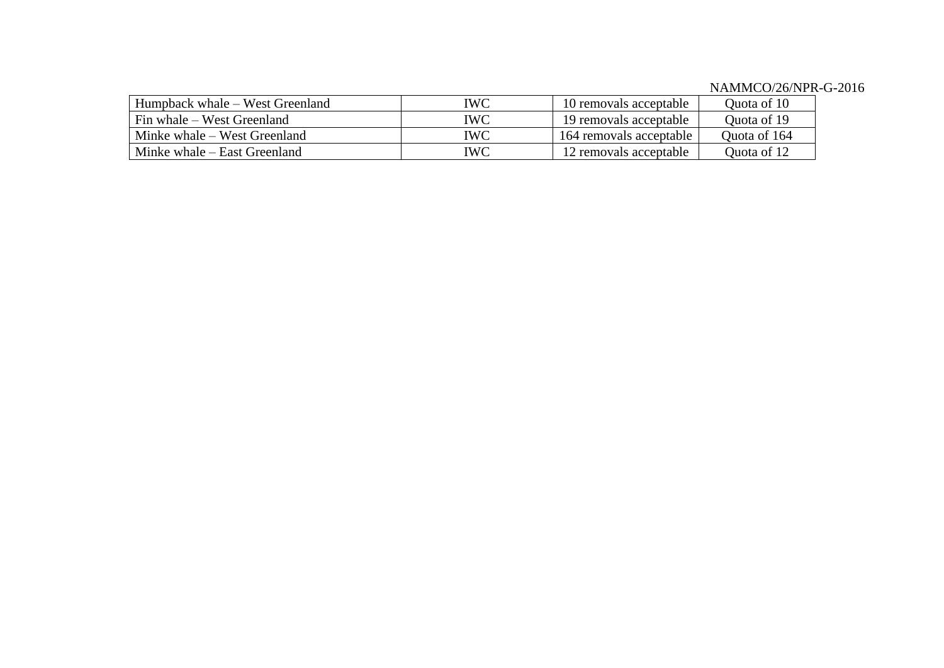| Humpback whale – West Greenland | IWC        | 10 removals acceptable  | Ouota of 10  |
|---------------------------------|------------|-------------------------|--------------|
| Fin whale – West Greenland      | <b>IWC</b> | 19 removals acceptable  | Ouota of 19  |
| Minke whale – West Greenland    | IWC        | 164 removals acceptable | Ouota of 164 |
| Minke whale – East Greenland    | IWC        | 12 removals acceptable  | Ouota of 12  |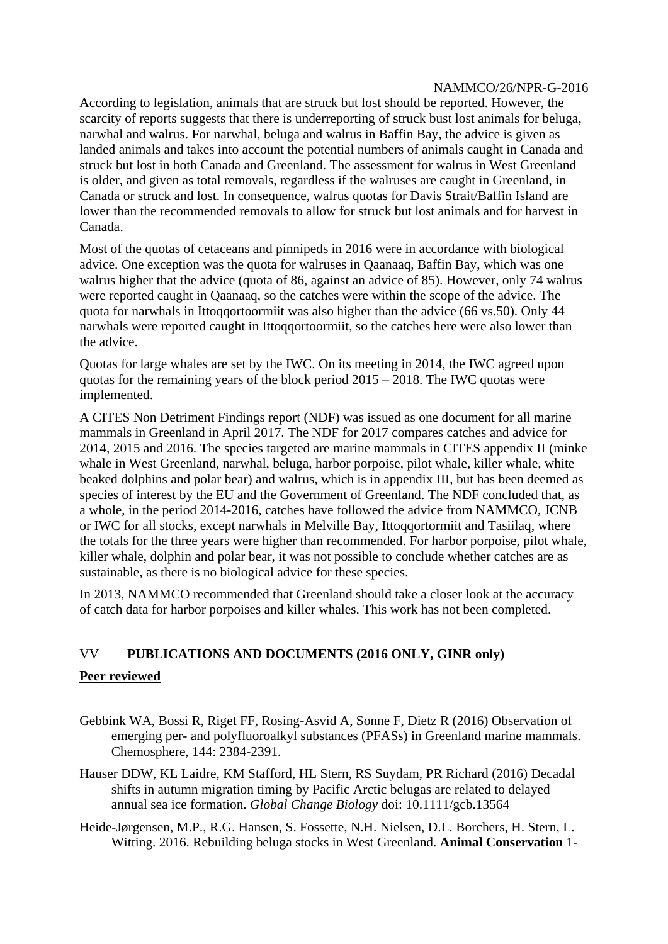According to legislation, animals that are struck but lost should be reported. However, the scarcity of reports suggests that there is underreporting of struck bust lost animals for beluga, narwhal and walrus. For narwhal, beluga and walrus in Baffin Bay, the advice is given as landed animals and takes into account the potential numbers of animals caught in Canada and struck but lost in both Canada and Greenland. The assessment for walrus in West Greenland is older, and given as total removals, regardless if the walruses are caught in Greenland, in Canada or struck and lost. In consequence, walrus quotas for Davis Strait/Baffin Island are lower than the recommended removals to allow for struck but lost animals and for harvest in Canada.

Most of the quotas of cetaceans and pinnipeds in 2016 were in accordance with biological advice. One exception was the quota for walruses in Qaanaaq, Baffin Bay, which was one walrus higher that the advice (quota of 86, against an advice of 85). However, only 74 walrus were reported caught in Qaanaaq, so the catches were within the scope of the advice. The quota for narwhals in Ittoqqortoormiit was also higher than the advice (66 vs.50). Only 44 narwhals were reported caught in Ittoqqortoormiit, so the catches here were also lower than the advice.

Quotas for large whales are set by the IWC. On its meeting in 2014, the IWC agreed upon quotas for the remaining years of the block period  $2015 - 2018$ . The IWC quotas were implemented.

A CITES Non Detriment Findings report (NDF) was issued as one document for all marine mammals in Greenland in April 2017. The NDF for 2017 compares catches and advice for 2014, 2015 and 2016. The species targeted are marine mammals in CITES appendix II (minke whale in West Greenland, narwhal, beluga, harbor porpoise, pilot whale, killer whale, white beaked dolphins and polar bear) and walrus, which is in appendix III, but has been deemed as species of interest by the EU and the Government of Greenland. The NDF concluded that, as a whole, in the period 2014-2016, catches have followed the advice from NAMMCO, JCNB or IWC for all stocks, except narwhals in Melville Bay, Ittoqqortormiit and Tasiilaq, where the totals for the three years were higher than recommended. For harbor porpoise, pilot whale, killer whale, dolphin and polar bear, it was not possible to conclude whether catches are as sustainable, as there is no biological advice for these species.

In 2013, NAMMCO recommended that Greenland should take a closer look at the accuracy of catch data for harbor porpoises and killer whales. This work has not been completed.

# VV **PUBLICATIONS AND DOCUMENTS (2016 ONLY, GINR only)**

## **Peer reviewed**

- Gebbink WA, Bossi R, Riget FF, Rosing-Asvid A, Sonne F, Dietz R (2016) Observation of emerging per- and polyfluoroalkyl substances (PFASs) in Greenland marine mammals. Chemosphere, 144: 2384-2391.
- Hauser DDW, KL Laidre, KM Stafford, HL Stern, RS Suydam, PR Richard (2016) Decadal shifts in autumn migration timing by Pacific Arctic belugas are related to delayed annual sea ice formation. *Global Change Biology* doi: 10.1111/gcb.13564
- Heide-Jørgensen, M.P., R.G. Hansen, S. Fossette, N.H. Nielsen, D.L. Borchers, H. Stern, L. Witting. 2016. Rebuilding beluga stocks in West Greenland. **Animal Conservation** 1-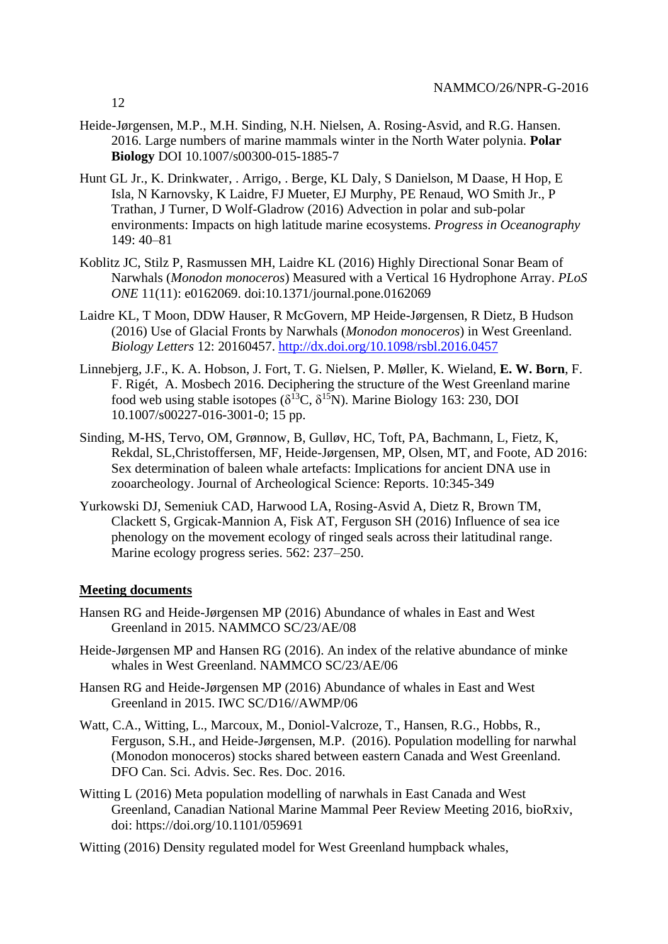- Heide-Jørgensen, M.P., M.H. Sinding, N.H. Nielsen, A. Rosing-Asvid, and R.G. Hansen. 2016. Large numbers of marine mammals winter in the North Water polynia. **Polar Biology** DOI 10.1007/s00300-015-1885-7
- Hunt GL Jr., K. Drinkwater, . Arrigo, . Berge, KL Daly, S Danielson, M Daase, H Hop, E Isla, N Karnovsky, K Laidre, FJ Mueter, EJ Murphy, PE Renaud, WO Smith Jr., P Trathan, J Turner, D Wolf-Gladrow (2016) Advection in polar and sub-polar environments: Impacts on high latitude marine ecosystems. *Progress in Oceanography* 149: 40–81
- Koblitz JC, Stilz P, Rasmussen MH, Laidre KL (2016) Highly Directional Sonar Beam of Narwhals (*Monodon monoceros*) Measured with a Vertical 16 Hydrophone Array. *PLoS ONE* 11(11): e0162069. doi:10.1371/journal.pone.0162069
- Laidre KL, T Moon, DDW Hauser, R McGovern, MP Heide-Jørgensen, R Dietz, B Hudson (2016) Use of Glacial Fronts by Narwhals (*Monodon monoceros*) in West Greenland. *Biology Letters* 12: 20160457.<http://dx.doi.org/10.1098/rsbl.2016.0457>
- Linnebjerg, J.F., K. A. Hobson, J. Fort, T. G. Nielsen, P. Møller, K. Wieland, **E. W. Born**, F. F. Rigét, A. Mosbech 2016. Deciphering the structure of the West Greenland marine food web using stable isotopes ( $\delta^{13}C$ ,  $\delta^{15}N$ ). Marine Biology 163: 230, DOI 10.1007/s00227-016-3001-0; 15 pp.
- Sinding, M-HS, Tervo, OM, Grønnow, B, Gulløv, HC, Toft, PA, Bachmann, L, Fietz, K, Rekdal, SL,Christoffersen, MF, Heide-Jørgensen, MP, Olsen, MT, and Foote, AD 2016: Sex determination of baleen whale artefacts: Implications for ancient DNA use in zooarcheology. Journal of Archeological Science: Reports. 10:345-349
- Yurkowski DJ, Semeniuk CAD, Harwood LA, Rosing-Asvid A, Dietz R, Brown TM, Clackett S, Grgicak-Mannion A, Fisk AT, Ferguson SH (2016) Influence of sea ice phenology on the movement ecology of ringed seals across their latitudinal range. Marine ecology progress series. 562: 237–250.

### **Meeting documents**

- Hansen RG and Heide-Jørgensen MP (2016) Abundance of whales in East and West Greenland in 2015. NAMMCO SC/23/AE/08
- Heide-Jørgensen MP and Hansen RG (2016). An index of the relative abundance of minke whales in West Greenland. NAMMCO SC/23/AE/06
- Hansen RG and Heide-Jørgensen MP (2016) Abundance of whales in East and West Greenland in 2015. IWC SC/D16//AWMP/06
- Watt, C.A., Witting, L., Marcoux, M., Doniol-Valcroze, T., Hansen, R.G., Hobbs, R., Ferguson, S.H., and Heide-Jørgensen, M.P. (2016). Population modelling for narwhal (Monodon monoceros) stocks shared between eastern Canada and West Greenland. DFO Can. Sci. Advis. Sec. Res. Doc. 2016.
- Witting L (2016) Meta population modelling of narwhals in East Canada and West Greenland, Canadian National Marine Mammal Peer Review Meeting 2016, bioRxiv, doi: https://doi.org/10.1101/059691
- Witting (2016) Density regulated model for West Greenland humpback whales,

12